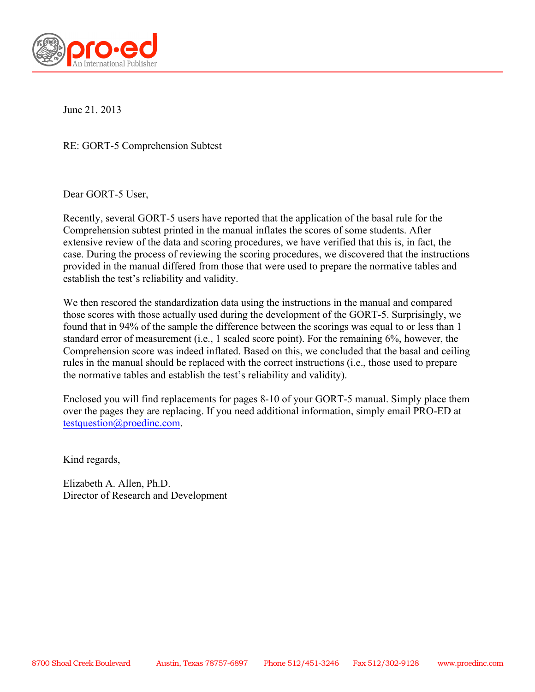

June 21. 2013

RE: GORT-5 Comprehension Subtest

Dear GORT-5 User,

Recently, several GORT-5 users have reported that the application of the basal rule for the Comprehension subtest printed in the manual inflates the scores of some students. After extensive review of the data and scoring procedures, we have verified that this is, in fact, the case. During the process of reviewing the scoring procedures, we discovered that the instructions provided in the manual differed from those that were used to prepare the normative tables and establish the test's reliability and validity.

We then rescored the standardization data using the instructions in the manual and compared those scores with those actually used during the development of the GORT-5. Surprisingly, we found that in 94% of the sample the difference between the scorings was equal to or less than 1 standard error of measurement (i.e., 1 scaled score point). For the remaining 6%, however, the Comprehension score was indeed inflated. Based on this, we concluded that the basal and ceiling rules in the manual should be replaced with the correct instructions (i.e., those used to prepare the normative tables and establish the test's reliability and validity).

Enclosed you will find replacements for pages 8-10 of your GORT-5 manual. Simply place them over the pages they are replacing. If you need additional information, simply email PRO-ED at testquestion@proedinc.com.

Kind regards,

Elizabeth A. Allen, Ph.D. Director of Research and Development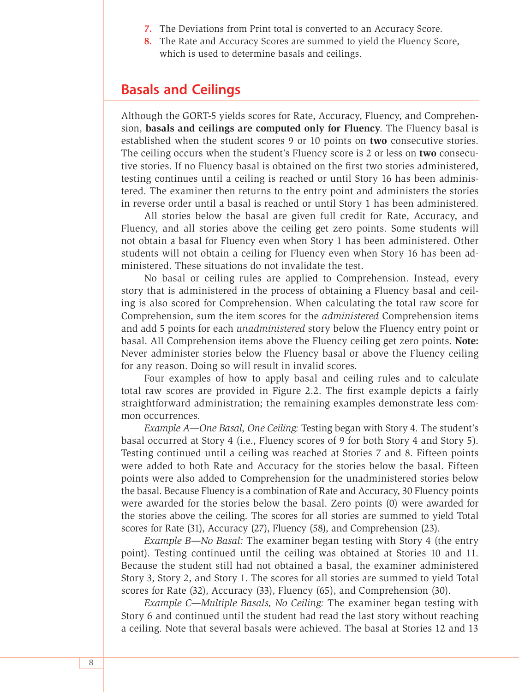- **7.** The Deviations from Print total is converted to an Accuracy Score.
- **8.** The Rate and Accuracy Scores are summed to yield the Fluency Score, which is used to determine basals and ceilings.

# **Basals and Ceilings**

Although the GORT-5 yields scores for Rate, Accuracy, Fluency, and Comprehension, **basals and ceilings are computed only for Fluency**. The Fluency basal is established when the student scores 9 or 10 points on **two** consecutive stories. The ceiling occurs when the student's Fluency score is 2 or less on **two** consecutive stories. If no Fluency basal is obtained on the first two stories administered, testing continues until a ceiling is reached or until Story 16 has been administered. The examiner then returns to the entry point and administers the stories in reverse order until a basal is reached or until Story 1 has been administered.

All stories below the basal are given full credit for Rate, Accuracy, and Fluency, and all stories above the ceiling get zero points. Some students will not obtain a basal for Fluency even when Story 1 has been administered. Other students will not obtain a ceiling for Fluency even when Story 16 has been administered. These situations do not invalidate the test.

No basal or ceiling rules are applied to Comprehension. Instead, every story that is administered in the process of obtaining a Fluency basal and ceiling is also scored for Comprehension. When calculating the total raw score for Comprehension, sum the item scores for the *administered* Comprehension items and add 5 points for each *unadministered* story below the Fluency entry point or basal. All Comprehension items above the Fluency ceiling get zero points. **Note:** Never administer stories below the Fluency basal or above the Fluency ceiling for any reason. Doing so will result in invalid scores.

Four examples of how to apply basal and ceiling rules and to calculate total raw scores are provided in Figure 2.2. The first example depicts a fairly straightforward administration; the remaining examples demonstrate less common occurrences.

*Example A—One Basal, One Ceiling:* Testing began with Story 4. The student's basal occurred at Story 4 (i.e., Fluency scores of 9 for both Story 4 and Story 5). Testing continued until a ceiling was reached at Stories 7 and 8. Fifteen points were added to both Rate and Accuracy for the stories below the basal. Fifteen points were also added to Comprehension for the unadministered stories below the basal. Because Fluency is a combination of Rate and Accuracy, 30 Fluency points were awarded for the stories below the basal. Zero points (0) were awarded for the stories above the ceiling. The scores for all stories are summed to yield Total scores for Rate (31), Accuracy (27), Fluency (58), and Comprehension (23).

*Example B—No Basal:* The examiner began testing with Story 4 (the entry point). Testing continued until the ceiling was obtained at Stories 10 and 11. Because the student still had not obtained a basal, the examiner administered Story 3, Story 2, and Story 1. The scores for all stories are summed to yield Total scores for Rate (32), Accuracy (33), Fluency (65), and Comprehension (30).

*Example C—Multiple Basals, No Ceiling:* The examiner began testing with Story 6 and continued until the student had read the last story without reaching a ceiling. Note that several basals were achieved. The basal at Stories 12 and 13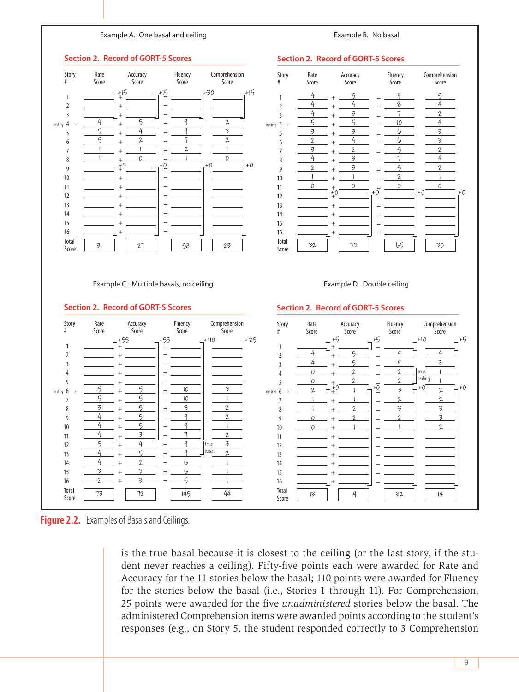# **Example A.** One basal and ceiling **A a comple B** a Sexample B. No basal

#### $\begin{bmatrix} 0 & 0 \\ 0 & 4 \end{bmatrix}$ <u>Scotland Scotland Scotland Scotland Scotland Scotland Scotland Scotland Scotland Scotland Scotland Scotland Scotland</u> **Descriptive Term Very Poor Poor Below Average Average Above Average Superior Very Superior Index Scott 13** 4 4 5 = 9 Jbasal 2 %ile Rank Example C. Multiple basals, no ceiling example of the stample D. Double ceiling Rate 1 **Section 2. Re Fluence 1 Story** Rate  $\#$  Score Sum of Scaled Scores Index (ORI) *SEM*  $\overline{\phantom{a}}$  $\overline{\phantom{0}}$ **Section 2. Record of GORT-5 Scores** Story # Rate Score Accuracy Score Fluency Score Comprehension **Score**  $1 - \frac{1}{2} + \frac{1}{2} - \frac{1}{2} =$ 2  $+$   $=$  3 + =  $4 \rightarrow \frac{4}{1} + \frac{5}{1} =$  $\frac{5}{2} + \frac{4}{2} =$ 6  $\frac{5}{2} + \frac{2}{2} =$  $7 \quad \underline{\qquad 1 \quad + \underline{\qquad 1 \quad}}$  = 8  $\frac{1}{2} + \frac{0}{2} =$  9 + = 10  $+$   $=$ 11  $+$   $-$ 12  $+$   $=$ 13  $+$   $+$   $-$ 14  $+$   $=$ 15 + =  $16$   $\frac{1}{2}$  +  $\frac{1}{2}$  = Total  $Score$   $31$  $\frac{1}{4}$   $\frac{2}{5}$   $\frac{1}{9}$   $\frac{3}{7}$   $\frac{1}{2}$   $\frac{1}{2}$   $\frac{1}{2}$   $\frac{1}{2}$   $\frac{1}{2}$   $\frac{1}{2}$   $\frac{1}{2}$   $\frac{1}{2}$   $\frac{1}{2}$   $\frac{1}{2}$   $\frac{1}{2}$   $\frac{1}{2}$   $\frac{1}{2}$   $\frac{1}{2}$   $\frac{1}{2}$   $\frac{1}{2}$   $\frac{1}{2}$   $\frac{1}{2}$  Female Male Grade  $\overline{\phantom{a}}$  $\frac{2}{\pi}$  =  $\frac{1}{\pi}$ Date Tested Date of Birth  $\equiv$ \*When accessing the normative tables, use years and months. Do not round up. Examiner's Name **Scaled Score** 1–3 4–5 6–7 8–12 13–14 15–16 17–20 **Descriptive Term Very Poor Poor Below Average Average Above Average Superior Very Superior Index Scott Scott Scott Scott Scott Scott Scott Scott Scott Scott Scott Scott Scott Scott Scott Scott Scott Scott Scott Scott Scott Scott Scott Scott Scott Scott Scott Scott Scott Scott Scott Scott Scott Scott Scott Scott** Score *SEM* ceiling **Section 2. Record of GORT-5 Scores Section 2. Require Section 2. Require Information** Rate Accuracy Fluency Comprehension Story Rate Score Score Score Score and Score # Score<br>Compare Score Score Score Score & Compare Score Sum of Scaled Scores  $\Gamma$  $\overline{\phantom{a}}$  s  $\overline{\phantom{a}}$ Oral Reading %ile Rank Oral Reading Index (ORI) *SEM*  $\mathfrak z$  $\overline{\phantom{a}}$ **Section 2. Record of GORT-5 Scores** Story # Rate Score Accuracy Score Fluency Score Comprehension Score  $1 \t \frac{4}{1} + \frac{5}{1} =$ 2  $\frac{4}{1}$  +  $\frac{4}{1}$  =  $\frac{4}{2} + \frac{3}{2} =$  $4 \rightarrow \frac{5}{2} + \frac{5}{2} =$  $5 \t 3 + 3 = 5$ 6  $\frac{2}{\frac{4}{\frac{1}{2}}} + \frac{4}{\frac{4}{\frac{1}{2}}}$  =  $7 \t\frac{3}{2} + \frac{2}{2} =$  $8 \frac{4}{1} + \frac{3}{1} =$ 9  $\frac{2}{1} + \frac{3}{1} =$  $10 \t -1 + -1 =$ 11  $+$   $+$  $12$   $\frac{11}{2}$   $\frac{11}{2}$   $\frac{11}{2}$   $\frac{11}{2}$   $\frac{11}{2}$   $\frac{11}{2}$   $\frac{11}{2}$   $\frac{11}{2}$   $\frac{11}{2}$   $\frac{11}{2}$   $\frac{11}{2}$   $\frac{11}{2}$   $\frac{11}{2}$   $\frac{11}{2}$   $\frac{11}{2}$   $\frac{11}{2}$   $\frac{11}{2}$   $\frac{11}{2}$   $\frac{11}{2}$   $\frac{11}{$ 13 - <del>\_ \_ \_ \_ \_ \_</del> |+ \_ \_ \_ \_ \_ \_ | = 14 + = 15  $+$   $=$ 16 + = Total  $Score$   $32$ Story # Rate Score Accuracy Score Fluency Score Score  $1 - \frac{1}{2} + \frac{1}{2} =$ 2  $+$   $=$  3 + =  $4 \quad \underline{\hspace{1cm}} + \underline{\hspace{1cm}} =$  $5 - 1$  +  $6 \rightarrow \frac{5}{1} + \frac{5}{1} =$  $7 \quad -2 \quad |+\;-\;2 \quad |=$ 8  $\frac{3}{2}$  +  $\frac{5}{2}$  = 9  $-4$   $+$   $-5$   $=$ 10  $\frac{4}{10}$  +  $\frac{5}{10}$  = 11  $-4$   $+$   $-3$   $=$  $12 \frac{5}{12} + \frac{4}{12} =$ **Gray Oral Reading Tests–Fifth Edition** *Gove* 51 27 58 23 Female Male Grade  $\overline{\phantom{a}}$  $\vert \frac{5}{2} \vert = \frac{10}{2}$  $rac{5}{3}$  $\overline{4}$  $\overline{\phantom{a}}$  $5 + 4 = 9$  True 3 **Section 2. Record of GORT-5 Scores** Story # Rate Score Accuracy Score Fluency Score Comprehension Score 1  $+$   $-$ 2  $\frac{4}{2}$  +  $\frac{5}{2}$  =  $\frac{4}{2} + \frac{5}{2} =$  $4 \t 0 \t + 2 \t =$  $5 \t -0 \t + -\t 2 \t =$  $6 \rightarrow \underline{2}$   $-1$   $-1$   $-1$  7 + =  $8 \t-\t-1$  +  $2$  = 9  $0$   $| +$   $2$   $| =$  $10 \t -0 \t + -1 \t =$ 11 + = 12  $+$   $=$ **Gray Oral Reading Tests–Fifth Edition F F Examiner Record Booklet <b>Examiner Examiner 1999**<br> **Examiner Record Booklet Booklet Booklet Booklet Booklet Booklet Booklet Booklet Booklet Booklet Booklet Booklet Booklet Booklet Booklet Booklet Booklet Booklet**  $\frac{5}{2}$  +  $\frac{2}{2}$  =  $\frac{1}{2}$   $\frac{2}{2}$  $\frac{1}{1}$  +  $\frac{1}{1}$  =  $\frac{2}{1}$   $\frac{1}{1}$  $\frac{1}{1} + \frac{0}{1} = \frac{1}{1}$  0 32 || 33 || 165 || 30  $\frac{4}{5}$  +  $\frac{5}{5}$  =  $\frac{9}{5}$  5  $\frac{4}{4}$  +  $\frac{4}{4}$  =  $\frac{8}{4}$   $\frac{4}{4}$  $\frac{4}{7} + \frac{3}{7} = \frac{1}{7}$  2  $\frac{5}{2} + \frac{5}{2} = \frac{10}{4}$  $\frac{3}{2}$  +  $\frac{3}{2}$  =  $\frac{6}{3}$  3  $2 + 4 = 6$  $\frac{3}{2}$  +  $\frac{2}{2}$  =  $\frac{5}{2}$   $\frac{2}{2}$  $\frac{4}{7} + \frac{3}{7} = \frac{1}{7}$  4  $2 + 3 = 5$   $2$  $1 + 1 = 2$  $\frac{0}{0} + \frac{0}{0} = \frac{0}{0}$  $\frac{4}{4}$  + 5 =  $\frac{9}{4}$  +  $\frac{4}{7} + \frac{5}{7} = \frac{9}{7} = \frac{3}{7}$  $\frac{0}{1} + \frac{2}{1} = \frac{2}{1}$  |true |  $\frac{0}{1} + \frac{2}{1} = \frac{2}{1}$  $+15$   $-15$   $-15$   $-15$  $\pm 0$   $\frac{}{\rightarrow} +0$   $\frac{}{\rightarrow} +0$   $\frac{}{\rightarrow} +0$ entry 4 >  $\frac{4}{2}$  +  $\frac{5}{2}$  =  $\frac{4}{2}$   $\frac{2}{2}$  entry 4 >  $+0$   $+0$   $+0$   $+0$   $+0$   $+0$  $+0$   $+0$   $+0$   $+0$   $+0$   $+0$ +5 +5 +10 +5 entry  $6$  >  $\begin{array}{|c|c|c|c|c|c|}\hline \end{array}$   $\begin{array}{|c|c|c|c|c|}\hline \end{array}$  =  $\begin{array}{|c|c|c|c|}\hline \end{array}$  =  $\begin{array}{|c|c|c|c|}\hline \end{array}$  =  $\begin{array}{|c|c|c|}\hline \end{array}$  =  $\begin{array}{|c|c|c|}\hline \end{array}$  entry  $6$  > true ceiling true basal  $\frac{4}{7} + \frac{5}{9} = \frac{9}{9} = \frac{2}{9}$  $\frac{5}{3}$  +  $\frac{4}{3}$  =  $\frac{9}{3}$   $\frac{3}{3}$ | 31 | 27 | | 58 | | 23  $\frac{5}{5}$  +  $\frac{5}{5}$  =  $\frac{10}{3}$   $\frac{3}{5}$  $\begin{array}{|c|c|c|c|c|c|c|c|} \hline 5 & + & 5 & = & 10 & \end{array}$  $\begin{array}{|c|c|c|c|c|c|}\n \hline\n 3 & + & 5 & = & 8 & \quad \text{2} \\
\hline\n\end{array}$  $\begin{array}{|c|c|c|c|c|c|}\n\hline\n-4 & + & 5 & = & 9 & 2\n\end{array}$  $\frac{4}{5}$  +  $\frac{5}{6}$  =  $\frac{9}{1}$   $\frac{1}{1}$  $\begin{array}{|c|c|c|c|c|c|}\n\hline\n-4 & + & 3 & = & 1 & 2\n\end{array}$  $\frac{5}{4} + \frac{4}{9} = \frac{9}{100}$  True 3  $2 \t-1^{\frac{1}{2}} \t-1 \t-1^{\frac{1}{2}} \t- \t\frac{3}{2} \t-1^{\frac{1}{2}} \t- \t\frac{2}{2}$  1 1 2 2  $-1$   $+$   $-2$   $=$   $-3$   $-3$  0 2 2 3 0 1 1 2 +55 <sub>--</sub>+55 <sub>--</sub>+110 <sub>--</sub>+25

*GORT-5* **Examiner Record Booklet** 

 $\overline{1}$ 

**Section 4. Descriptive Terms Corresponding to Scaled and Index Scores**



**Total** <sup>10tal</sup> 73

13  $-4$  + 5 =  $14 \frac{4}{1} + \frac{2}{1} =$  $15 \quad \underline{3} \quad + \underline{3} \quad =$  $16 \quad \underline{2} + \underline{3} =$ 

 $\overline{4}$  $\overline{2}$ 

 $2 + 3 = 5$ 

 $2 + 3 = 5$ Pro-Ed, 8700 Shoal Creek Blvd., Australia Blvd., Australia Blvd., Australia Blvd., Australia Blvd., Australia  $1$  72  $1$  145  $1$  44  $1$ 

| 13 | 12 | 145 | 145

 $\frac{4}{2}$  +  $\frac{5}{2}$  =  $\frac{9}{2}$   $\frac{1}{2}$  $\frac{4}{2} + \frac{2}{2} = \frac{6}{2}$  $\frac{3}{2}$  +  $\frac{3}{2}$  =  $\frac{6}{2}$  - 1  $2 + 3 = 5$  73 72 145 44

Oral Reading

**Section 4. Descriptive Terms Corresponding to Scaled and Index Scores**

Rate 1980 and 1980 and 1980 and Accuracy 1 Fluency 1 Comprehension 1

**Scaled Score** 1–3 4–5 6–7 8–12 13–14 15–16 17–20 **Descriptive Term Very Poor Poor Below Average Average Above Average Superior Very Superior**

*GORT-5* **Examiner Record Booklet** 

is the true basal because it is closest to the ceiling (or the last story, if the student never reaches a ceiling). Fifty-five points each were awarded for Rate and dent never reaches a ceiling). Fifty-five points each were awarded for Rate and Accuracy for the 11 stories below the basal; 110 points were awarded for Fluency Fitcuracy for the 11 stories below the basal, 110 points were awarded for Fidelicy<br>for the stories below the basal (i.e., Stories 1 through 11). For Comprehension, 25 points were awarded for the five *unadministered* stories below the basal. The administered Comprehension items were awarded points according to the student's responses (e.g., on Story 5, the student responded correctly to 3 Comprehension

Total  $Score$   $13$ 

13  $+$   $+$   $-$ 14  $+$   $|$   $=$ 15 + = 16 + =

**Scaled Score** 1–3 4–5 6–7 8–12 13–14 15–16 17–20 **Descriptive Term Very Poor Poor Below Average Average Above Average Superior Very Superior**

 $\overline{1}$ 

 $A$ ditional copies of this form ( $A$ 3928) may be purchased from ( $A$ 3928) may be purchased from ( $A$ 3928) may be purchased from ( $A$ 3928) may be purchased from ( $A$ 3928) may be purchased from ( $A$ 3928) may be purchased fr Proposition and all contracts and and show show show that is a straight straight and straight and straight and  $1$  19  $1$  12  $32$  1 14 1

13 | 19 | 32 | 14